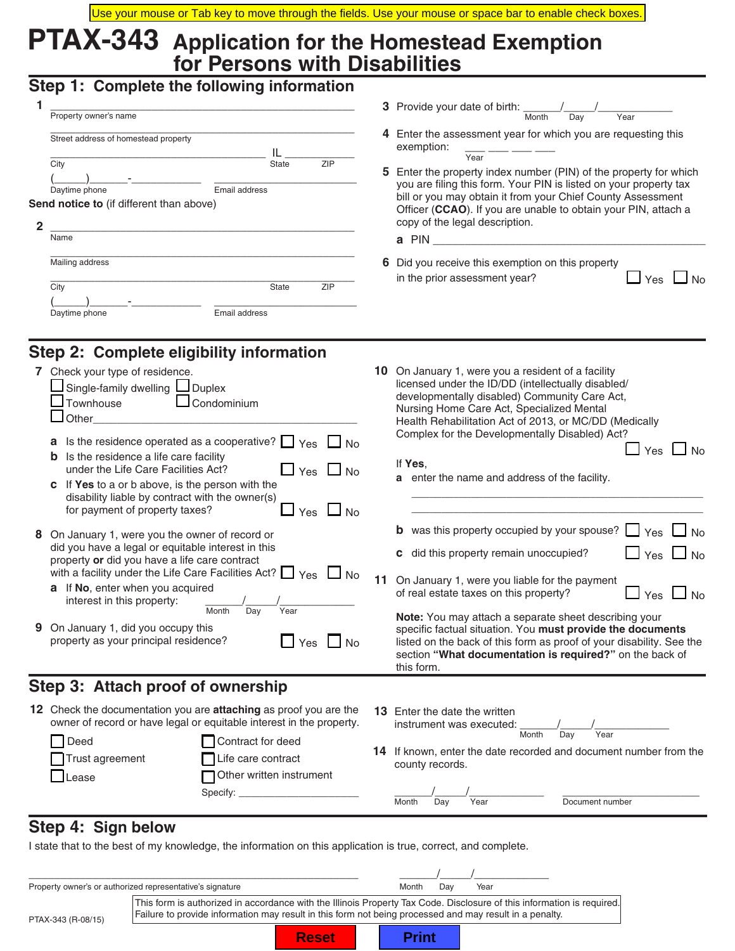**5** Enter the property index number (PIN) of the property for which you are filing this form. Your PIN is listed on your property tax bill or you may obtain it from your Chief County Assessment Officer (**CCAO**). If you are unable to obtain your PIN, attach a

in the prior assessment year?  $\Box$   $\gamma$ es  $\Box$  No

# **PTAX-343 Application for the Homestead Exemption for Persons with Disabilities**

### **Step 1: Complete the following information**

|                                                 |                                      |               |     |                                                                                                                         | 3 Provide your date of birth:                                                     |  |  |  |
|-------------------------------------------------|--------------------------------------|---------------|-----|-------------------------------------------------------------------------------------------------------------------------|-----------------------------------------------------------------------------------|--|--|--|
|                                                 | Property owner's name                |               |     |                                                                                                                         | Month<br>Year<br>Dav                                                              |  |  |  |
|                                                 | Street address of homestead property |               |     |                                                                                                                         | 4 Enter the assessment year for which you are requesting th<br>exemption:<br>Year |  |  |  |
|                                                 | City                                 | <b>State</b>  | ZIP |                                                                                                                         | 5 Enter the property index number (PIN) of the property for                       |  |  |  |
|                                                 | Daytime phone                        | Email address |     | you are filing this form. Your PIN is listed on your property                                                           |                                                                                   |  |  |  |
| <b>Send notice to</b> (if different than above) |                                      |               |     | bill or you may obtain it from your Chief County Assessme<br>Officer (CCAO). If you are unable to obtain your PIN, atta |                                                                                   |  |  |  |
|                                                 |                                      |               |     |                                                                                                                         | copy of the legal description.                                                    |  |  |  |
|                                                 | Name                                 |               |     |                                                                                                                         | a PIN                                                                             |  |  |  |
|                                                 | Mailing address                      |               |     |                                                                                                                         | 6 Did you receive this exemption on this property                                 |  |  |  |

 \_\_\_\_\_\_\_\_\_\_\_\_\_\_\_\_\_\_\_\_\_\_\_\_\_\_\_\_\_\_\_\_\_\_\_\_\_\_\_\_\_\_\_\_\_\_\_\_ City State ZIP (\_\_\_\_\_)\_\_\_\_\_\_-\_\_\_\_\_\_\_\_\_\_\_ \_\_\_\_\_\_\_\_\_\_\_\_\_\_\_\_\_\_\_\_\_\_\_ Daytime phone Email address

## **Step 2: Complete eligibility information**

| 9 | 7 Check your type of residence.<br>Single-family dwelling Louplex<br>Townhouse<br>$\Box$ Condominium<br>$\sqcup$ Other_<br>Is the residence operated as a cooperative? $\Box$ Yes $\Box$ No<br>a<br>Is the residence a life care facility<br>b<br>under the Life Care Facilities Act?<br>$\Box$ Yes $\Box$ No<br>If Yes to a or b above, is the person with the<br>C.<br>disability liable by contract with the owner(s)<br>for payment of property taxes?<br>$\Box$ No<br>Yes<br>8 On January 1, were you the owner of record or<br>did you have a legal or equitable interest in this<br>property or did you have a life care contract<br>with a facility under the Life Care Facilities Act? $\Box$ Yes<br>$\Box$ No<br><b>a</b> If No, enter when you acquired<br>interest in this property:<br>Year<br>Month<br>Day<br>On January 1, did you occupy this<br>property as your principal residence?<br>Yes<br><b>No</b> | 11 | <b>10</b> On January 1, were you a resident of a facility<br>licensed under the ID/DD (intellectually disabled/<br>developmentally disabled) Community Care Act,<br>Nursing Home Care Act, Specialized Mental<br>Health Rehabilitation Act of 2013, or MC/DD (Medically<br>Complex for the Developmentally Disabled) Act?<br>No L<br>Yes<br>If Yes,<br>a enter the name and address of the facility.<br><b>b</b> was this property occupied by your spouse?<br>$\Box$ Yes $\Box$ No<br>$\Box$ Yes $\Box$ No<br>c did this property remain unoccupied?<br>On January 1, were you liable for the payment<br>$\Box$ No<br>of real estate taxes on this property?<br>$\sqcup$ Yes<br>Note: You may attach a separate sheet describing your<br>specific factual situation. You must provide the documents<br>listed on the back of this form as proof of your disability. See the<br>section "What documentation is required?" on the back of<br>this form. |
|---|----------------------------------------------------------------------------------------------------------------------------------------------------------------------------------------------------------------------------------------------------------------------------------------------------------------------------------------------------------------------------------------------------------------------------------------------------------------------------------------------------------------------------------------------------------------------------------------------------------------------------------------------------------------------------------------------------------------------------------------------------------------------------------------------------------------------------------------------------------------------------------------------------------------------------|----|--------------------------------------------------------------------------------------------------------------------------------------------------------------------------------------------------------------------------------------------------------------------------------------------------------------------------------------------------------------------------------------------------------------------------------------------------------------------------------------------------------------------------------------------------------------------------------------------------------------------------------------------------------------------------------------------------------------------------------------------------------------------------------------------------------------------------------------------------------------------------------------------------------------------------------------------------------|
|   | Step 3: Attach proof of ownership                                                                                                                                                                                                                                                                                                                                                                                                                                                                                                                                                                                                                                                                                                                                                                                                                                                                                          |    |                                                                                                                                                                                                                                                                                                                                                                                                                                                                                                                                                                                                                                                                                                                                                                                                                                                                                                                                                        |
|   | 12 Check the documentation you are attaching as proof you are the<br>owner of record or have legal or equitable interest in the property.                                                                                                                                                                                                                                                                                                                                                                                                                                                                                                                                                                                                                                                                                                                                                                                  |    | <b>13</b> Enter the date the written<br>instrument was executed:                                                                                                                                                                                                                                                                                                                                                                                                                                                                                                                                                                                                                                                                                                                                                                                                                                                                                       |

| Deed                     | Contract for deed                              | Month<br>Year<br>Dav                                                                        |
|--------------------------|------------------------------------------------|---------------------------------------------------------------------------------------------|
| Trust agreement<br>Lease | Life care contract<br>Other written instrument | <b>14</b> If known, enter the date recorded and document number from the<br>county records. |
|                          | Specify:                                       | Month<br>Document number<br>Year<br>Dav                                                     |

### **Step 4: Sign below**

I state that to the best of my knowledge, the information on this application is true, correct, and complete.

| Property owner's or authorized representative's signature |                                                                                                                                                                                                                                   |  | Month        | Dav | Year |  |
|-----------------------------------------------------------|-----------------------------------------------------------------------------------------------------------------------------------------------------------------------------------------------------------------------------------|--|--------------|-----|------|--|
| PTAX-343 (R-08/15)                                        | This form is authorized in accordance with the Illinois Property Tax Code. Disclosure of this information is required.<br>Failure to provide information may result in this form not being processed and may result in a penalty. |  |              |     |      |  |
|                                                           | <b>Reset</b>                                                                                                                                                                                                                      |  | <b>Print</b> |     |      |  |